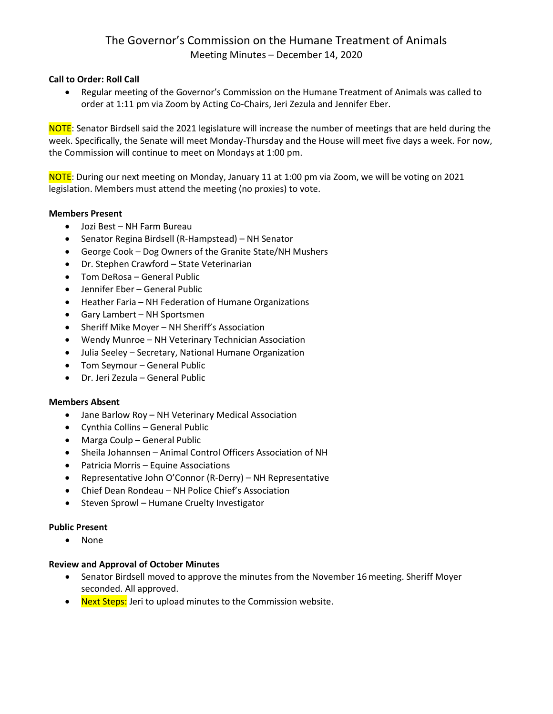# The Governor's Commission on the Humane Treatment of Animals Meeting Minutes – December 14, 2020

## **Call to Order: Roll Call**

• Regular meeting of the Governor's Commission on the Humane Treatment of Animals was called to order at 1:11 pm via Zoom by Acting Co-Chairs, Jeri Zezula and Jennifer Eber.

NOTE: Senator Birdsell said the 2021 legislature will increase the number of meetings that are held during the week. Specifically, the Senate will meet Monday-Thursday and the House will meet five days a week. For now, the Commission will continue to meet on Mondays at 1:00 pm.

NOTE: During our next meeting on Monday, January 11 at 1:00 pm via Zoom, we will be voting on 2021 legislation. Members must attend the meeting (no proxies) to vote.

#### **Members Present**

- Jozi Best NH Farm Bureau
- Senator Regina Birdsell (R-Hampstead) NH Senator
- George Cook Dog Owners of the Granite State/NH Mushers
- Dr. Stephen Crawford State Veterinarian
- Tom DeRosa General Public
- Jennifer Eber General Public
- Heather Faria NH Federation of Humane Organizations
- Gary Lambert NH Sportsmen
- Sheriff Mike Moyer NH Sheriff's Association
- Wendy Munroe NH Veterinary Technician Association
- Julia Seeley Secretary, National Humane Organization
- Tom Seymour General Public
- Dr. Jeri Zezula General Public

### **Members Absent**

- Jane Barlow Roy NH Veterinary Medical Association
- Cynthia Collins General Public
- Marga Coulp General Public
- Sheila Johannsen Animal Control Officers Association of NH
- Patricia Morris Equine Associations
- Representative John O'Connor (R-Derry) NH Representative
- Chief Dean Rondeau NH Police Chief's Association
- Steven Sprowl Humane Cruelty Investigator

### **Public Present**

• None

#### **Review and Approval of October Minutes**

- Senator Birdsell moved to approve the minutes from the November 16 meeting. Sheriff Moyer seconded. All approved.
- Next Steps: Jeri to upload minutes to the Commission website.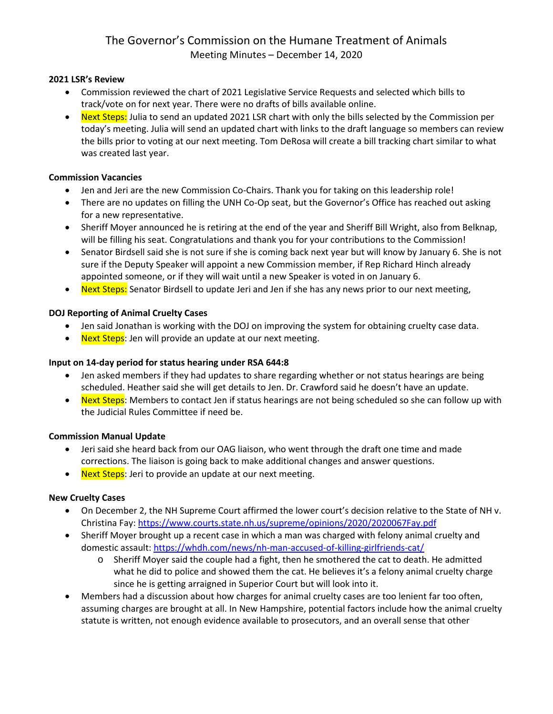# The Governor's Commission on the Humane Treatment of Animals Meeting Minutes – December 14, 2020

### **2021 LSR's Review**

- Commission reviewed the chart of 2021 Legislative Service Requests and selected which bills to track/vote on for next year. There were no drafts of bills available online.
- Next Steps: Julia to send an updated 2021 LSR chart with only the bills selected by the Commission per today's meeting. Julia will send an updated chart with links to the draft language so members can review the bills prior to voting at our next meeting. Tom DeRosa will create a bill tracking chart similar to what was created last year.

### **Commission Vacancies**

- Jen and Jeri are the new Commission Co-Chairs. Thank you for taking on this leadership role!
- There are no updates on filling the UNH Co-Op seat, but the Governor's Office has reached out asking for a new representative.
- Sheriff Moyer announced he is retiring at the end of the year and Sheriff Bill Wright, also from Belknap, will be filling his seat. Congratulations and thank you for your contributions to the Commission!
- Senator Birdsell said she is not sure if she is coming back next year but will know by January 6. She is not sure if the Deputy Speaker will appoint a new Commission member, if Rep Richard Hinch already appointed someone, or if they will wait until a new Speaker is voted in on January 6.
- Next Steps: Senator Birdsell to update Jeri and Jen if she has any news prior to our next meeting,

### **DOJ Reporting of Animal Cruelty Cases**

- Jen said Jonathan is working with the DOJ on improving the system for obtaining cruelty case data.
- Next Steps: Jen will provide an update at our next meeting.

# **Input on 14-day period for status hearing under RSA 644:8**

- Jen asked members if they had updates to share regarding whether or not status hearings are being scheduled. Heather said she will get details to Jen. Dr. Crawford said he doesn't have an update.
- Next Steps: Members to contact Jen if status hearings are not being scheduled so she can follow up with the Judicial Rules Committee if need be.

# **Commission Manual Update**

- Jeri said she heard back from our OAG liaison, who went through the draft one time and made corrections. The liaison is going back to make additional changes and answer questions.
- Next Steps: Jeri to provide an update at our next meeting.

# **New Cruelty Cases**

- On December 2, the NH Supreme Court affirmed the lower court's decision relative to the State of NH v. Christina Fay:<https://www.courts.state.nh.us/supreme/opinions/2020/2020067Fay.pdf>
- Sheriff Moyer brought up a recent case in which a man was charged with felony animal cruelty and domestic assault:<https://whdh.com/news/nh-man-accused-of-killing-girlfriends-cat/>
	- o Sheriff Moyer said the couple had a fight, then he smothered the cat to death. He admitted what he did to police and showed them the cat. He believes it's a felony animal cruelty charge since he is getting arraigned in Superior Court but will look into it.
- Members had a discussion about how charges for animal cruelty cases are too lenient far too often, assuming charges are brought at all. In New Hampshire, potential factors include how the animal cruelty statute is written, not enough evidence available to prosecutors, and an overall sense that other